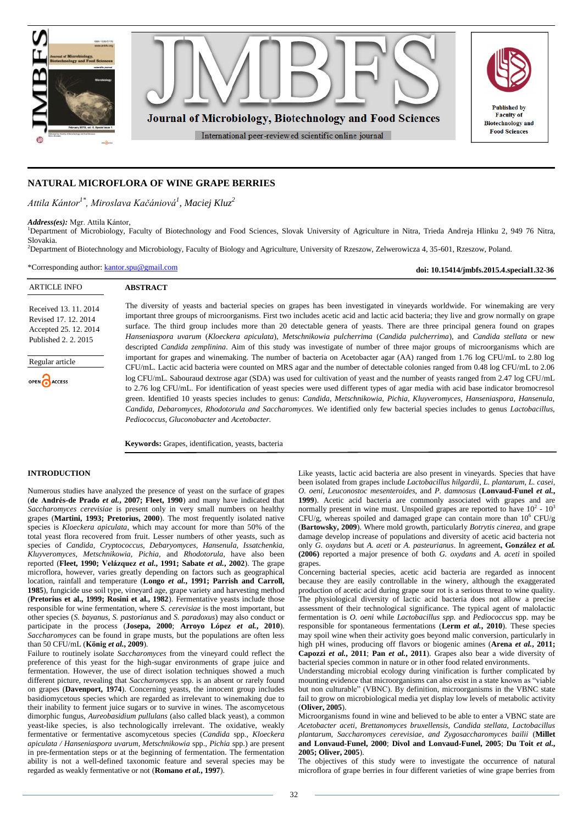

# **NATURAL MICROFLORA OF WINE GRAPE BERRIES**

*Attila Kántor1\* , Miroslava Kačániová<sup>1</sup> , Maciej Kluz<sup>2</sup>*

#### *Address(es):* Mgr. Attila Kántor,

<sup>1</sup>Department of Microbiology, Faculty of Biotechnology and Food Sciences, Slovak University of Agriculture in Nitra, Trieda Andreja Hlinku 2, 949 76 Nitra, Slovakia.

<sup>2</sup>Department of Biotechnology and Microbiology, Faculty of Biology and Agriculture, University of Rzeszow, Zelwerowicza 4, 35-601, Rzeszow, Poland.

\*Corresponding author: [kantor.spu@gmail.com](mailto:kantor.spu@gmail.com)

**doi: 10.15414/jmbfs.2015.4.special1.32-36**

| <b>ARTICLE INFO</b>                                                                            | <b>ABSTRACT</b>                                                                                                                                                                                                                                                                                                                                                                                                                                                                                                                                                                                                                                                                                                                                                                                                                                                 |
|------------------------------------------------------------------------------------------------|-----------------------------------------------------------------------------------------------------------------------------------------------------------------------------------------------------------------------------------------------------------------------------------------------------------------------------------------------------------------------------------------------------------------------------------------------------------------------------------------------------------------------------------------------------------------------------------------------------------------------------------------------------------------------------------------------------------------------------------------------------------------------------------------------------------------------------------------------------------------|
| Received 13, 11, 2014<br>Revised 17, 12, 2014<br>Accepted 25, 12, 2014<br>Published 2, 2, 2015 | The diversity of yeasts and bacterial species on grapes has been investigated in vineyards worldwide. For winemaking are very<br>important three groups of microorganisms. First two includes acetic acid and lactic acid bacteria; they live and grow normally on grape<br>surface. The third group includes more than 20 detectable genera of yeasts. There are three principal genera found on grapes<br>Hanseniaspora uvarum (Kloeckera apiculata), Metschnikowia pulcherrima (Candida pulcherrima), and Candida stellata or new<br>descripted <i>Candida zemplinina</i> . Aim of this study was investigate of number of three major groups of microorganisms which are                                                                                                                                                                                    |
| Regular article<br>OPEN CACCESS                                                                | important for grapes and winemaking. The number of bacteria on Acetobacter agar (AA) ranged from 1.76 log CFU/mL to 2.80 log<br>CFU/mL. Lactic acid bacteria were counted on MRS agar and the number of detectable colonies ranged from 0.48 log CFU/mL to 2.06<br>log CFU/mL. Sabouraud dextrose agar (SDA) was used for cultivation of yeast and the number of yeasts ranged from 2.47 log CFU/mL<br>to 2.76 log CFU/mL. For identification of yeast species were used different types of agar media with acid base indicator bromocresol<br>green. Identified 10 yeasts species includes to genus: Candida, Metschnikowia, Pichia, Kluyveromyces, Hanseniaspora, Hansenula,<br>Candida, Debaromyces, Rhodotorula and Saccharomyces. We identified only few bacterial species includes to genus Lactobacillus,<br>Pediococcus, Gluconobacter and Acetobacter. |

**Keywords:** Grapes, identification, yeasts, bacteria

## **INTRODUCTION**

Numerous studies have analyzed the presence of yeast on the surface of grapes (**de Andrés-de Prado** *et al.***, 2007; Fleet, 1990**) and many have indicated that *Saccharomyces cerevisiae* is present only in very small numbers on healthy grapes (**Martini, 1993; Pretorius, 2000**). The most frequently isolated native species is *Kloeckera apiculata*, which may account for more than 50% of the total yeast flora recovered from fruit. Lesser numbers of other yeasts, such as species of *Candida, Cryptococcus, Debaryomyces, Hansenula, Issatchenkia, Kluyveromyces, Metschnikowia, Pichia,* and *Rhodotorula*, have also been reported (**Fleet, 1990; Velázquez** *et al.***, 1991; Sabate** *et al.***, 2002**). The grape microflora, however, varies greatly depending on factors such as geographical location, rainfall and temperature (**Longo** *et al.***, 1991; Parrish and Carroll, 1985**), fungicide use soil type, vineyard age, grape variety and harvesting method (**Pretorius et al., 1999; Rosini et al., 1982**). Fermentative yeasts include those responsible for wine fermentation, where *S. cerevisiae* is the most important, but other species (*S. bayanus, S. pastorianus* and *S. paradoxus*) may also conduct or participate in the process (**Josepa, 2000**; **Arroyo López** *et al.***, 2010**). *Saccharomyces* can be found in grape musts, but the populations are often less than 50 CFU/mL (**König** *et al.***, 2009**).

Failure to routinely isolate *Saccharomyces* from the vineyard could reflect the preference of this yeast for the high-sugar environments of grape juice and fermentation. However, the use of direct isolation techniques showed a much different picture, revealing that *Saccharomyces* spp. is an absent or rarely found on grapes (**Davenport, 1974**). Concerning yeasts, the innocent group includes basidiomycetous species which are regarded as irrelevant to winemaking due to their inability to ferment juice sugars or to survive in wines. The ascomycetous dimorphic fungus, *Aureobasidium pullulans* (also called black yeast), a common yeast-like species, is also technologically irrelevant. The oxidative, weakly fermentative or fermentative ascomycetous species (*Candida* spp*., Kloeckera apiculata / Hanseniaspora uvarum, Metschnikowia* spp.*, Pichia* spp.) are present in pre-fermentation steps or at the beginning of fermentation. The fermentation ability is not a well-defined taxonomic feature and several species may be regarded as weakly fermentative or not (**Romano** *et al.***, 1997**).

Like yeasts, lactic acid bacteria are also present in vineyards. Species that have been isolated from grapes include *Lactobacillus hilgardii*, *L. plantarum, L. casei, O. oeni, Leuconostoc mesenteroides,* and *P. damnosus* (**Lonvaud-Funel** *et al.***, 1999**). Acetic acid bacteria are commonly associated with grapes and are normally present in wine must. Unspoiled grapes are reported to have  $10^2 \cdot 10^3$ CFU/g, whereas spoiled and damaged grape can contain more than  $10^6$  CFU/g (**Bartowsky, 2009**). Where mold growth, particularly *Botrytis cinerea*, and grape damage develop increase of populations and diversity of acetic acid bacteria not only *G. oxydans* but *A. aceti* or *A. pasteurianus*. In agreement**, González** *et al.* **(2006)** reported a major presence of both *G. oxydans* and *A. aceti* in spoiled grapes.

Concerning bacterial species, acetic acid bacteria are regarded as innocent because they are easily controllable in the winery, although the exaggerated production of acetic acid during grape sour rot is a serious threat to wine quality. The physiological diversity of lactic acid bacteria does not allow a precise assessment of their technological significance. The typical agent of malolactic fermentation is *O. oeni* while *Lactobacillus spp.* and *Pediococcus* spp. may be responsible for spontaneous fermentations (**Lerm** *et al.***, 2010**). These species may spoil wine when their activity goes beyond malic conversion, particularly in high pH wines, producing off flavors or biogenic amines (**Arena** *et al.***, 2011; Capozzi** *et al.***, 2011**; **Pan** *et al.***, 2011**). Grapes also bear a wide diversity of bacterial species common in nature or in other food related environments.

Understanding microbial ecology during vinification is further complicated by mounting evidence that microorganisms can also exist in a state known as "viable but non culturable" (VBNC). By definition, microorganisms in the VBNC state fail to grow on microbiological media yet display low levels of metabolic activity (**Oliver, 2005**).

Microorganisms found in wine and believed to be able to enter a VBNC state are *Acetobacter aceti, Brettanomyces bruxellensis, Candida stellata, Lactobacillus plantarum, Saccharomyces cerevisiae, and Zygosaccharomyces bailii* (**Millet and Lonvaud-Funel, 2000**; **Divol and Lonvaud-Funel, 2005**; **Du Toit** *et al.***, 2005; Oliver, 2005**).

The objectives of this study were to investigate the occurrence of natural microflora of grape berries in four different varieties of wine grape berries from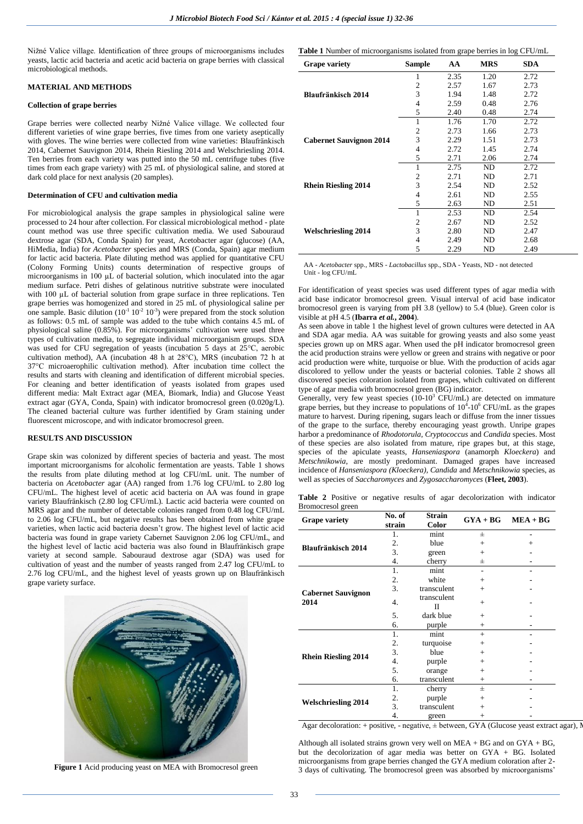Nižné Valice village. Identification of three groups of microorganisms includes yeasts, lactic acid bacteria and acetic acid bacteria on grape berries with classical microbiological methods.

#### **MATERIAL AND METHODS**

#### **Collection of grape berries**

Grape berries were collected nearby Nižné Valice village. We collected four different varieties of wine grape berries, five times from one variety aseptically with gloves. The wine berries were collected from wine varieties: Blaufränkisch 2014, Cabernet Sauvignon 2014, Rhein Riesling 2014 and Welschriesling 2014. Ten berries from each variety was putted into the 50 mL centrifuge tubes (five times from each grape variety) with 25 mL of physiological saline, and stored at dark cold place for next analysis (20 samples).

#### **Determination of CFU and cultivation media**

For microbiological analysis the grape samples in physiological saline were processed to 24 hour after collection. For classical microbiological method - plate count method was use three specific cultivation media. We used Sabouraud dextrose agar (SDA, Conda Spain) for yeast, Acetobacter agar (glucose) (AA, HiMedia, India) for *Acetobacter* species and MRS (Conda, Spain) agar medium for lactic acid bacteria. Plate diluting method was applied for quantitative CFU (Colony Forming Units) counts determination of respective groups of microorganisms in 100 µL of bacterial solution, which inoculated into the agar medium surface. Petri dishes of gelatinous nutritive substrate were inoculated with 100 µL of bacterial solution from grape surface in three replications. Ten grape berries was homogenized and stored in 25 mL of physiological saline per one sample. Basic dilution  $(10^{-1} 10^{-2} 10^{-3})$  were prepared from the stock solution as follows: 0.5 mL of sample was added to the tube which contains 4.5 mL of physiological saline (0.85%). For microorganisms' cultivation were used three types of cultivation media, to segregate individual microorganism groups. SDA was used for CFU segregation of yeasts (incubation 5 days at 25°C, aerobic cultivation method), AA (incubation 48 h at 28°C), MRS (incubation 72 h at 37°C microaerophilic cultivation method). After incubation time collect the results and starts with cleaning and identification of different microbial species. For cleaning and better identification of yeasts isolated from grapes used different media: Malt Extract agar (MEA, Biomark, India) and Glucose Yeast extract agar (GYA, Conda, Spain) with indicator bromocresol green (0.020g/L). The cleaned bacterial culture was further identified by Gram staining under fluorescent microscope, and with indicator bromocresol green.

#### **RESULTS AND DISCUSSION**

Grape skin was colonized by different species of bacteria and yeast. The most important microorganisms for alcoholic fermentation are yeasts. Table 1 shows the results from plate diluting method at log CFU/mL unit. The number of bacteria on *Acetobacter* agar (AA) ranged from 1.76 log CFU/mL to 2.80 log CFU/mL. The highest level of acetic acid bacteria on AA was found in grape variety Blaufränkisch (2.80 log CFU/mL). Lactic acid bacteria were counted on MRS agar and the number of detectable colonies ranged from 0.48 log CFU/mL to 2.06 log CFU/mL, but negative results has been obtained from white grape varieties, when lactic acid bacteria doesn't grow. The highest level of lactic acid bacteria was found in grape variety Cabernet Sauvignon 2.06 log CFU/mL, and the highest level of lactic acid bacteria was also found in Blaufränkisch grape variety at second sample. Sabouraud dextrose agar (SDA) was used for cultivation of yeast and the number of yeasts ranged from 2.47 log CFU/mL to 2.76 log CFU/mL, and the highest level of yeasts grown up on Blaufränkisch grape variety surface.



**Figure 1** Acid producing yeast on MEA with Bromocresol green

**Table 1** Number of microorganisms isolated from grape berries in log CFU/mL

| <b>Grape variety</b>           | <b>Sample</b>  | AA   | <b>MRS</b> | <b>SDA</b> |
|--------------------------------|----------------|------|------------|------------|
|                                | 1              | 2.35 | 1.20       | 2.72       |
|                                | $\overline{c}$ | 2.57 | 1.67       | 2.73       |
| Blaufränkisch 2014             | 3              | 1.94 | 1.48       | 2.72       |
|                                | 4              | 2.59 | 0.48       | 2.76       |
|                                | 5              | 2.40 | 0.48       | 2.74       |
|                                | 1              | 1.76 | 1.70       | 2.72       |
|                                | 2              | 2.73 | 1.66       | 2.73       |
| <b>Cabernet Sauvignon 2014</b> | 3              | 2.29 | 1.51       | 2.73       |
|                                | 4              | 2.72 | 1.45       | 2.74       |
|                                | 5              | 2.71 | 2.06       | 2.74       |
|                                | 1              | 2.75 | ND         | 2.72       |
|                                | 2              | 2.71 | ND         | 2.71       |
| <b>Rhein Riesling 2014</b>     | 3              | 2.54 | ND         | 2.52       |
|                                | 4              | 2.61 | ND         | 2.55       |
|                                | 5              | 2.63 | ND         | 2.51       |
|                                | 1              | 2.53 | ND         | 2.54       |
|                                | 2              | 2.67 | ND         | 2.52       |
| <b>Welschriesling 2014</b>     | 3              | 2.80 | ND         | 2.47       |
|                                | 4              | 2.49 | ND         | 2.68       |
|                                | 5              | 2.29 | ND         | 2.49       |

AA - *Acetobacter* spp., MRS - *Lactobacillus* spp., SDA - Yeasts, ND - not detected Unit - log CFU/mL

For identification of yeast species was used different types of agar media with acid base indicator bromocresol green. Visual interval of acid base indicator bromocresol green is varying from pH 3.8 (yellow) to 5.4 (blue). Green color is visible at pH 4.5 (**Ibarra** *et al.***, 2004**).

As seen above in table 1 the highest level of grown cultures were detected in AA and SDA agar media. AA was suitable for growing yeasts and also some yeast species grown up on MRS agar. When used the pH indicator bromocresol green the acid production strains were yellow or green and strains with negative or poor acid production were white, turquoise or blue. With the production of acids agar discolored to yellow under the yeasts or bacterial colonies. Table 2 shows all discovered species coloration isolated from grapes, which cultivated on different type of agar media with bromocresol green (BG) indicator.

Generally, very few yeast species  $(10-10^3 \text{ CFU/mL})$  are detected on immature grape berries, but they increase to populations of  $10^4$ - $10^6$  CFU/mL as the grapes mature to harvest. During ripening, sugars leach or diffuse from the inner tissues of the grape to the surface, thereby encouraging yeast growth. Unripe grapes harbor a predominance of *Rhodotorula, Cryptococcus* and *Candida* species. Most of these species are also isolated from mature, ripe grapes but, at this stage, species of the apiculate yeasts, *Hanseniaspora* (anamorph *Kloeckera*) and *Metschnikowia*, are mostly predominant. Damaged grapes have increased incidence of *Hanseniaspora (Kloeckera), Candida* and *Metschnikowia* species, as well as species of *Saccharomyces* and *Zygosaccharomyces* (**Fleet, 2003**).

**Table 2** Positive or negative results of agar decolorization with indicator Bromocresol green

|                            | No. of | <b>Strain</b> | $\rm GYA + BG$ | $MEA + BG$ |  |
|----------------------------|--------|---------------|----------------|------------|--|
| <b>Grape variety</b>       | strain | Color         |                |            |  |
|                            | 1.     | mint          | $\pm$          |            |  |
| <b>Blaufränkisch 2014</b>  | 2.     | blue          | $+$            | $^{+}$     |  |
|                            | 3.     | green         | $^+$           |            |  |
|                            | 4.     | cherry        | 士              |            |  |
|                            | 1.     | mint          |                |            |  |
|                            | 2.     | white         | $^{+}$         |            |  |
| <b>Cabernet Sauvignon</b>  | 3.     | transculent   | $^{+}$         |            |  |
| 2014                       | 4.     | transculent   | $^{+}$         |            |  |
|                            |        | Π             |                |            |  |
|                            | 5.     | dark blue     | $+$            |            |  |
|                            | 6.     | purple        | $^{+}$         |            |  |
|                            | 1.     | mint          | $+$            |            |  |
|                            | 2.     | turquoise     | $^{+}$         |            |  |
| <b>Rhein Riesling 2014</b> | 3.     | blue          | $+$            |            |  |
|                            | 4.     | purple        | $^{+}$         |            |  |
|                            | 5.     | orange        | $^{+}$         |            |  |
|                            | 6.     | transculent   | $+$            |            |  |
|                            | 1.     | cherry        | 士              |            |  |
| <b>Welschriesling 2014</b> | 2.     | purple        | $^{+}$         |            |  |
|                            | 3.     | transculent   | $^{+}$         |            |  |
|                            | 4.     | green         | $^{+}$         |            |  |

Agar decoloration: + positive, - negative,  $\pm$  between, GYA (Glucose yeast extract agar), M

Although all isolated strains grown very well on MEA + BG and on GYA + BG, but the decolorization of agar media was better on GYA + BG. Isolated microorganisms from grape berries changed the GYA medium coloration after 2- 3 days of cultivating. The bromocresol green was absorbed by microorganisms'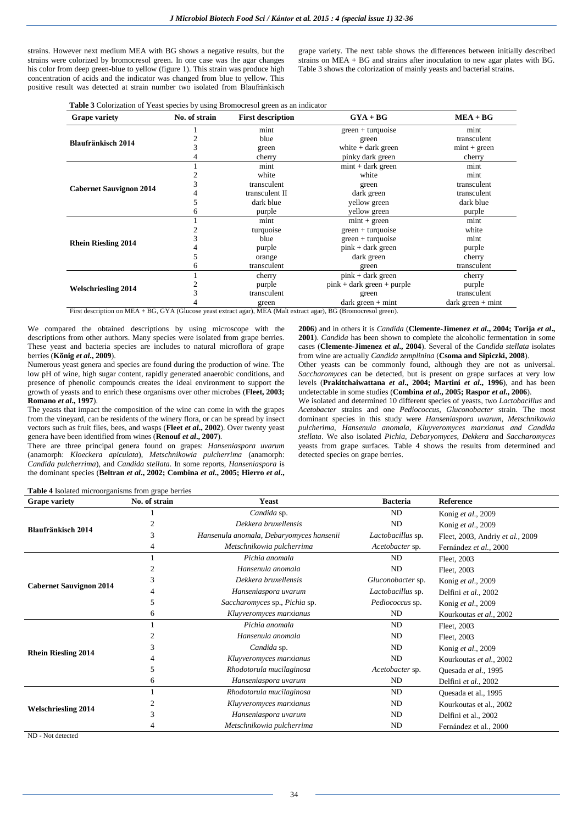strains. However next medium MEA with BG shows a negative results, but the strains were colorized by bromocresol green. In one case was the agar changes his color from deep green-blue to yellow (figure 1). This strain was produce high concentration of acids and the indicator was changed from blue to yellow. This positive result was detected at strain number two isolated from Blaufränkisch

grape variety. The next table shows the differences between initially described strains on MEA + BG and strains after inoculation to new agar plates with BG. Table 3 shows the colorization of mainly yeasts and bacterial strains.

**Table 3** Colorization of Yeast species by using Bromocresol green as an indicator

| <b>Grape variety</b>           | No. of strain | <b>First description</b> | $GYA + BG$                   | $MEA + BG$          |
|--------------------------------|---------------|--------------------------|------------------------------|---------------------|
|                                |               | mint                     | $green + turquoise$          | mint                |
| <b>Blaufränkisch 2014</b>      |               | blue                     | green                        | transculent         |
|                                |               | green                    | white $+$ dark green         | $mint + green$      |
|                                |               | cherry                   | pinky dark green             | cherry              |
|                                |               | mint                     | $mint + dark green$          | mint                |
|                                |               | white                    | white                        | mint                |
| <b>Cabernet Sauvignon 2014</b> |               | transculent              | green                        | transculent         |
|                                |               | transculent II           | dark green                   | transculent         |
|                                |               | dark blue                | vellow green                 | dark blue           |
|                                | 6             | purple                   | yellow green                 | purple              |
|                                |               | mint                     | $mint + green$               | mint                |
|                                |               | turquoise                | $green + turquoise$          | white               |
| <b>Rhein Riesling 2014</b>     |               | blue                     | $green + turquoise$          | mint                |
|                                |               | purple                   | $pink + dark$ green          | purple              |
|                                |               | orange                   | dark green                   | cherry              |
|                                | 6             | transculent              | green                        | transculent         |
|                                |               | cherry                   | $pink + dark green$          | cherry              |
|                                |               | purple                   | $pink + dark green + purple$ | purple              |
| <b>Welschriesling 2014</b>     |               | transculent              | green                        | transculent         |
|                                |               | green                    | $dark green + mint$          | $dark green + mint$ |

First description on MEA + BG, GYA (Glucose yeast extract agar), MEA (Malt extract agar), BG (Bromocresol green).

We compared the obtained descriptions by using microscope with the descriptions from other authors. Many species were isolated from grape berries. These yeast and bacteria species are includes to natural microflora of grape berries (**König** *et al***., 2009**).

Numerous yeast genera and species are found during the production of wine. The low pH of wine, high sugar content, rapidly generated anaerobic conditions, and presence of phenolic compounds creates the ideal environment to support the growth of yeasts and to enrich these organisms over other microbes (**Fleet, 2003; Romano** *et al***., 1997**).

The yeasts that impact the composition of the wine can come in with the grapes from the vineyard, can be residents of the winery flora, or can be spread by insect vectors such as fruit flies, bees, and wasps (**Fleet** *et al***., 2002**). Over twenty yeast genera have been identified from wines (**Renouf** *et al***., 2007**).

There are three principal genera found on grapes: *Hanseniaspora uvarum* (anamorph: *Kloeckera apiculata*), *Metschnikowia pulcherrima* (anamorph: *Candida pulcherrima*), and *Candida stellata*. In some reports, *Hanseniaspora* is the dominant species (**Beltran** *et al***., 2002; Combina** *et al***., 2005; Hierro** *et al***.,**

**2006**) and in others it is *Candida* (**Clemente-Jimenez** *et al***., 2004; Torija** *et al***., 2001**). *Candida* has been shown to complete the alcoholic fermentation in some cases (**Clemente-Jimenez** *et al***., 2004**). Several of the *Candida stellata* isolates from wine are actually *Candida zemplinina* (**Csoma and Sipiczki, 2008**). Other yeasts can be commonly found, although they are not as universal.

*Saccharomyces* can be detected, but is present on grape surfaces at very low levels (**Prakitchaiwattana** *et al***., 2004; Martini** *et al***., 1996**), and has been undetectable in some studies (**Combina** *et al***., 2005; Raspor** *et al***., 2006**).

We isolated and determined 10 different species of yeasts, two *Lactobacillus* and *Acetobacter* strains and one *Pediococcus, Gluconobacter* strain. The most dominant species in this study were *Hanseniaspora uvarum, Metschnikowia pulcherima, Hansenula anomala, Kluyveromyces marxianus and Candida stellata*. We also isolated *Pichia, Debaryomyces, Dekkera* and *Saccharomyces* yeasts from grape surfaces. Table 4 shows the results from determined and detected species on grape berries.

| <b>Grape variety</b>           | No. of strain        | <b>Yeast</b>                             | <b>Bacteria</b>   | Reference                        |
|--------------------------------|----------------------|------------------------------------------|-------------------|----------------------------------|
| <b>Blaufränkisch 2014</b>      |                      | Candida sp.                              | ND                | Konig et al., 2009               |
|                                |                      | Dekkera bruxellensis                     | ND                | Konig et al., 2009               |
|                                | 3                    | Hansenula anomala, Debaryomyces hansenii | Lactobacillus sp. | Fleet, 2003, Andriy et al., 2009 |
|                                | 4                    | Metschnikowia pulcherrima                | Acetobacter sp.   | Fernández et al., 2000           |
| <b>Cabernet Sauvignon 2014</b> |                      | Pichia anomala                           | ND                | Fleet, 2003                      |
|                                |                      | Hansenula anomala                        | ND                | Fleet, 2003                      |
|                                |                      | Dekkera bruxellensis                     | Gluconobacter sp. | Konig et al., 2009               |
|                                |                      | Hanseniaspora uvarum                     | Lactobacillus sp. | Delfini et al., 2002             |
|                                |                      | Saccharomyces sp., Pichia sp.            | Pediococcus sp.   | Konig et al., 2009               |
|                                | 6                    | Kluyveromyces marxianus                  | ND                | Kourkoutas et al., 2002          |
|                                |                      | Pichia anomala                           | ND                | Fleet, 2003                      |
|                                |                      | Hansenula anomala                        | ND                | Fleet, 2003                      |
| <b>Rhein Riesling 2014</b>     | 3                    | Candida sp.                              | ND                | Konig et al., 2009               |
|                                |                      | Kluyveromyces marxianus                  | ND                | Kourkoutas et al., 2002          |
|                                |                      | Rhodotorula mucilaginosa                 | Acetobacter sp.   | Quesada et al., 1995             |
|                                | 6                    | Hanseniaspora uvarum                     | ND                | Delfini et al., 2002             |
|                                |                      | Rhodotorula mucilaginosa                 | ND                | Quesada et al., 1995             |
| <b>Welschriesling 2014</b>     |                      | Kluyveromyces marxianus                  | ND                | Kourkoutas et al., 2002          |
|                                | $\blacktriangleleft$ | Hanseniaspora uvarum                     | ND                | Delfini et al., 2002             |
|                                |                      | Metschnikowia pulcherrima                | ND                | Fernández et al., 2000           |

**Table 4** Isolated microorganisms from grape berries

ND - Not detected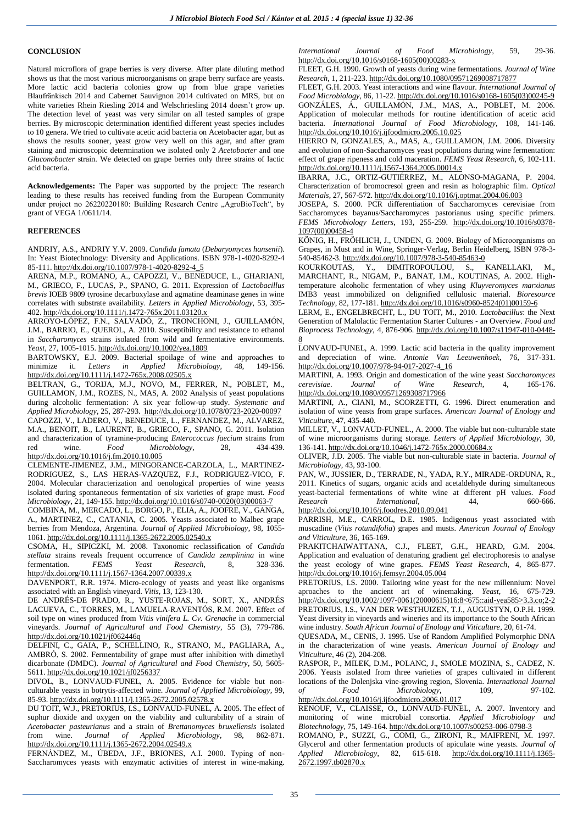#### **CONCLUSION**

Natural microflora of grape berries is very diverse. After plate diluting method shows us that the most various microorganisms on grape berry surface are yeasts. More lactic acid bacteria colonies grow up from blue grape varieties Blaufränkisch 2014 and Cabernet Sauvignon 2014 cultivated on MRS, but on white varieties Rhein Riesling 2014 and Welschriesling 2014 doesn't grow up. The detection level of yeast was very similar on all tested samples of grape berries. By microscopic determination identified different yeast species includes to 10 genera. We tried to cultivate acetic acid bacteria on Acetobacter agar, but as shows the results sooner, yeast grow very well on this agar, and after gram staining and microscopic determination we isolated only 2 *Acetobacter* and one *Gluconobacter* strain. We detected on grape berries only three strains of lactic acid bacteria.

**Acknowledgements:** The Paper was supported by the project: The research leading to these results has received funding from the European Community under project no 26220220180: Building Research Centre "AgroBioTech", by grant of VEGA 1/0611/14.

### **REFERENCES**

ANDRIY, A.S., ANDRIY Y.V. 2009. *Candida famata* (*Debaryomyces hansenii*). In: Yeast Biotechnology: Diversity and Applications. ISBN 978-1-4020-8292-4 85-111[. http://dx.doi.org/10.1007/978-1-4020-8292-4\\_5](http://dx.doi.org/10.1007/978-1-4020-8292-4_5)

ARENA, M.P., ROMANO, A., CAPOZZI, V., BENEDUCE, L., GHARIANI, M., GRIECO, F., LUCAS, P., SPANO, G. 2011. Expression of *Lactobacillus brevis* IOEB 9809 tyrosine decarboxylase and agmatine deaminase genes in wine correlates with substrate availability. *Letters in Applied Microbiology,* 53, 395- 402[. http://dx.doi.org/10.1111/j.1472-765x.2011.03120.x](http://dx.doi.org/10.1111/j.1472-765x.2011.03120.x)

ARROYO-LÓPEZ, F.N., SALVADÓ, Z., TRONCHONI, J., GUILLAMÓN, J.M., BARRIO, E., QUEROL, A. 2010. Susceptibility and resistance to ethanol in *Saccharomyces* strains isolated from wild and fermentative environments. *Yeast,* 27, 1005-1015[. http://dx.doi.org/10.1002/yea.1809](http://dx.doi.org/10.1002/yea.1809)

BARTOWSKY, E.J. 2009. Bacterial spoilage of wine and approaches to minimize it. *Letters in Applied Microbiology,* 48, 149-156. <http://dx.doi.org/10.1111/j.1472-765x.2008.02505.x>

BELTRAN, G., TORIJA, M.J., NOVO, M., FERRER, N., POBLET, M., GUILLAMON, J.M., ROZES, N., MAS, A. 2002 Analysis of yeast populations during alcoholic fermentation: A six year follow-up study. *Systematic and Applied Microbiology*, 25, 287-293[. http://dx.doi.org/10.1078/0723-2020-00097](http://dx.doi.org/10.1078/0723-2020-00097) CAPOZZI, V., LADERO, V., BENEDUCE, L., FERNANDEZ, M., ALVAREZ, M.A., BENOIT, B., LAURENT, B., GRIECO, F., SPANO, G. 2011. Isolation and characterization of tyramine-producing *Enterococcus faecium* strains from red wine. Food Microbiology. 28. 434-439. red wine. *Food Microbiology,* 28, 434-439. <http://dx.doi.org/10.1016/j.fm.2010.10.005>

CLEMENTE-JIMENEZ, J.M., MINGORANCE-CARZOLA, L., MARTINEZ-RODRIGUEZ, S., LAS HERAS-VAZQUEZ, F.J., RODRIGUEZ-VICO, F. 2004. Molecular characterization and oenological properties of wine yeasts isolated during spontaneous fermentation of six varieties of grape must. *Food Microbiology*, 21, 149-155[. http://dx.doi.org/10.1016/s0740-0020\(03\)00063-7](http://dx.doi.org/10.1016/s0740-0020(03)00063-7)

COMBINA, M., MERCADO, L., BORGO, P., ELIA, A., JOOFRE, V., GANGA, A., MARTINEZ, C., CATANIA, C. 2005. Yeasts associated to Malbec grape berries from Mendoza, Argentina. *Journal of Applied Microbiology*, 98, 1055- 1061[. http://dx.doi.org/10.1111/j.1365-2672.2005.02540.x](http://dx.doi.org/10.1111/j.1365-2672.2005.02540.x)

CSOMA, H., SIPICZKI, M. 2008. Taxonomic reclassification of *Candida stellata* strains reveals frequent occurrence of *Candida zemplinina* in wine fermentation. *FEMS Yeast Research*, 8, 328-336. <http://dx.doi.org/10.1111/j.1567-1364.2007.00339.x>

DAVENPORT, R.R. 1974. Micro-ecology of yeasts and yeast like organisms associated with an English vineyard. *Vitis*, 13, 123-130.

DE ANDRÉS-DE PRADO, R., YUSTE-ROJAS, M., SORT, X., ANDRÉS LACUEVA, C., TORRES, M., LAMUELA-RAVENTÓS, R.M. 2007. Effect of soil type on wines produced from *Vitis vinifera L. Cv. Grenache* in commercial vineyards. *Journal of Agricultural and Food Chemistry*, 55 (3), 779-786. <http://dx.doi.org/10.1021/jf062446q>

DELFINI, C., GAIA, P., SCHELLINO, R., STRANO, M., PAGLIARA, A., AMBRÓ, S. 2002. Fermentability of grape must after inhibition with dimethyl dicarbonate (DMDC). *Journal of Agricultural and Food Chemistry*, 50, 5605- 5611[. http://dx.doi.org/10.1021/jf0256337](http://dx.doi.org/10.1021/jf0256337)

DIVOL, B., LONVAUD-FUNEL, A. 2005. Evidence for viable but nonculturable yeasts in botrytis-affected wine. *Journal of Applied Microbiology,* 99, 85-93[. http://dx.doi.org/10.1111/j.1365-2672.2005.02578.x](http://dx.doi.org/10.1111/j.1365-2672.2005.02578.x)

DU TOIT, W.J., PRETORIUS, I.S., LONVAUD-FUNEL, A. 2005. The effect of suphur dioxide and oxygen on the viability and culturability of a strain of *Acetobacter pasteurianus* and a strain of *Brettanomyces bruxellensis* isolated from wine. *Journal of Applied Microbiology*, 98, 862-871. <http://dx.doi.org/10.1111/j.1365-2672.2004.02549.x>

FERNÁNDEZ, M., ÚBEDA, J.F., BRIONES, A.I. 2000. Typing of non-Saccharomyces yeasts with enzymatic activities of interest in wine-making. *International Journal of Food Microbiology*, 59, 29-36. [http://dx.doi.org/10.1016/s0168-1605\(00\)00283-x](http://dx.doi.org/10.1016/s0168-1605(00)00283-x)

FLEET, G.H. 1990. Growth of yeasts during wine fermentations. *Journal of Wine Research*, 1, 211-223[. http://dx.doi.org/10.1080/09571269008717877](http://dx.doi.org/10.1080/09571269008717877)

FLEET, G.H. 2003. Yeast interactions and wine flavour. *International Journal of Food Microbiology*, 86, 11-22[. http://dx.doi.org/10.1016/s0168-1605\(03\)00245-9](http://dx.doi.org/10.1016/s0168-1605(03)00245-9) GONZÁLES, Á., GUILLAMÓN, J.M., MAS, A., POBLET, M. 2006. Application of molecular methods for routine identification of acetic acid bacteria. *International Journal of Food Microbiology*, 108, 141-146. <http://dx.doi.org/10.1016/j.ijfoodmicro.2005.10.025>

HIERRO N, GONZALES, A., MAS, A., GUILLAMON, J.M. 2006. Diversity and evolution of non-Saccharomyces yeast populations during wine fermentation: effect of grape ripeness and cold maceration. *FEMS Yeast Research,* 6, 102-111. <http://dx.doi.org/10.1111/j.1567-1364.2005.00014.x>

IBARRA, J.C., ORTIZ-GUTIÉRREZ, M., ALONSO-MAGANA, P. 2004. Characterization of bromocresol green and resin as holographic film. *Optical Materials*, 27, 567-572[. http://dx.doi.org/10.1016/j.optmat.2004.06.003](http://dx.doi.org/10.1016/j.optmat.2004.06.003)

JOSEPA, S. 2000. PCR differentiation of Saccharomyces cerevisiae from Saccharomyces bayanus/Saccharomyces pastorianus using specific primers. *FEMS Microbiology Letters*, 193, 255-259. [http://dx.doi.org/10.1016/s0378-](http://dx.doi.org/10.1016/s0378-1097(00)00458-4) [1097\(00\)00458-4](http://dx.doi.org/10.1016/s0378-1097(00)00458-4)

KÖNIG, H., FRÖHLICH, J., UNDEN, G. 2009. Biology of Microorganisms on Grapes, in Must and in Wine, Springer-Verlag, Berlin Heidelberg, ISBN 978-3- 540-85462-3[. http://dx.doi.org/10.1007/978-3-540-85463-0](http://dx.doi.org/10.1007/978-3-540-85463-0)<br>KOURKOUTAS, Y., DIMITROPOULOU, S.,

KOURKOUTAS, Y., DIMITROPOULOU, S., KANELLAKI, M., MARCHANT, R., NIGAM, P., BANAT, I.M., KOUTINAS, A. 2002. Hightemperature alcoholic fermentation of whey using *Kluyveromyces marxianus* IMB3 yeast immobilized on delignified cellulosic material. *Bioresource Technology*, 82, 177-181[. http://dx.doi.org/10.1016/s0960-8524\(01\)00159-6](http://dx.doi.org/10.1016/s0960-8524(01)00159-6)

LERM, E., ENGELBRECHT, L., DU TOIT, M., 2010. *Lactobacillus*: the Next Generation of Malolactic Fermentation Starter Cultures - an Overview. *Food and Bioprocess Technology*, 4, 876-906. [http://dx.doi.org/10.1007/s11947-010-0448-](http://dx.doi.org/10.1007/s11947-010-0448-8) [8](http://dx.doi.org/10.1007/s11947-010-0448-8)

LONVAUD-FUNEL, A. 1999. Lactic acid bacteria in the quality improvement and depreciation of wine. *Antonie Van Leeuwenhoek,* 76, 317-331. [http://dx.doi.org/10.1007/978-94-017-2027-4\\_16](http://dx.doi.org/10.1007/978-94-017-2027-4_16)

MARTINI, A. 1993. Origin and domestication of the wine yeast *Saccharomyces cerevisiae*. *Journal of Wine Research*, 4, 165-176. <http://dx.doi.org/10.1080/09571269308717966>

MARTINI, A., CIANI, M., SCORZETTI, G. 1996. Direct enumeration and isolation of wine yeasts from grape surfaces. *American Journal of Enology and Viticulture*, 47, 435-440.

MILLET, V., LONVAUD-FUNEL., A. 2000. The viable but non-culturable state of wine microorganisms during storage. *Letters of Applied Microbiology*, 30, 136-141[. http://dx.doi.org/10.1046/j.1472-765x.2000.00684.x](http://dx.doi.org/10.1046/j.1472-765x.2000.00684.x)

OLIVER, J.D. 2005. The viable but non-culturable state in bacteria. *Journal of Microbiology*, 43, 93-100.

PAN, W., JUSSIER, D., TERRADE, N., YADA, R.Y., MIRADE-ORDUNA, R., 2011. Kinetics of sugars, organic acids and acetaldehyde during simultaneous yeast-bacterial fermentations of white wine at different pH values. *Food Research International,* 44, 660-666. <http://dx.doi.org/10.1016/j.foodres.2010.09.041>

PARRISH, M.E., CARROL, D.E. 1985. Indigenous yeast associated with muscadine (*Vitis rotundifolia*) grapes and musts. *American Journal of Enology and Viticulture*, 36, 165-169.

PRAKITCHAIWATTANA, C.J., FLEET, G.H., HEARD, G.M. 2004. Application and evaluation of denaturing gradient gel electrophoresis to analyse the yeast ecology of wine grapes. *FEMS Yeast Research*, 4, 865-877. <http://dx.doi.org/10.1016/j.femsyr.2004.05.004>

PRETORIUS, I.S. 2000. Tailoring wine yeast for the new millennium: Novel aproaches to the ancient art of winemaking. *Yeast*, 16, 675-729. [http://dx.doi.org/10.1002/1097-0061\(20000615\)16:8<675::aid-yea585>3.3.co;2-2](http://dx.doi.org/10.1002/1097-0061(20000615)16:8%3C675::aid-yea585%3E3.3.co;2-2) PRETORIUS, I.S., VAN DER WESTHUIZEN, T.J., AUGUSTYN, O.P.H. 1999. Yeast diversity in vineyards and wineries and its importance to the South African wine industry. *South African Journal of Enology and Viticulture*, 20, 61-74.

QUESADA, M., CENIS, J. 1995. Use of Random Amplified Polymorphic DNA in the characterization of wine yeasts. *American Journal of Enology and Viticulture*, 46 (2), 204-208.

RASPOR, P., MILEK, D.M., POLANC, J., SMOLE MOZINA, S., CADEZ, N. 2006. Yeasts isolated from three varieties of grapes cultivated in different locations of the Dolenjska vine-growing region, Slovenia. *International Journal of Food Microbiology*, 109, 97-102. <http://dx.doi.org/10.1016/j.ijfoodmicro.2006.01.017>

RENOUF, V., CLAISSE, O., LONVAUD-FUNEL, A. 2007. Inventory and monitoring of wine microbial consortia. *Applied Microbiology and Biotechnology*, 75, 149-164[. http://dx.doi.org/10.1007/s00253-006-0798-3](http://dx.doi.org/10.1007/s00253-006-0798-3)

ROMANO, P., SUZZI, G., COMI, G., ZIRONI, R., MAIFRENI, M. 1997. Glycerol and other fermentation products of apiculate wine yeasts. *Journal of Applied Microbiology*, 82, 615-618. [http://dx.doi.org/10.1111/j.1365-](http://dx.doi.org/10.1111/j.1365-2672.1997.tb02870.x) [2672.1997.tb02870.x](http://dx.doi.org/10.1111/j.1365-2672.1997.tb02870.x)